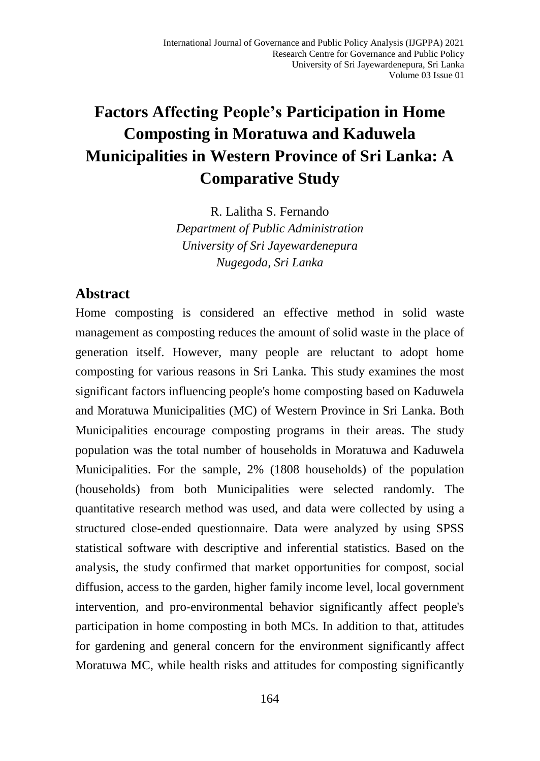# **Factors Affecting People's Participation in Home Composting in Moratuwa and Kaduwela Municipalities in Western Province of Sri Lanka: A Comparative Study**

R. Lalitha S. Fernando *Department of Public Administration University of Sri Jayewardenepura Nugegoda, Sri Lanka*

## **Abstract**

Home composting is considered an effective method in solid waste management as composting reduces the amount of solid waste in the place of generation itself. However, many people are reluctant to adopt home composting for various reasons in Sri Lanka. This study examines the most significant factors influencing people's home composting based on Kaduwela and Moratuwa Municipalities (MC) of Western Province in Sri Lanka. Both Municipalities encourage composting programs in their areas. The study population was the total number of households in Moratuwa and Kaduwela Municipalities. For the sample, 2% (1808 households) of the population (households) from both Municipalities were selected randomly. The quantitative research method was used, and data were collected by using a structured close-ended questionnaire. Data were analyzed by using SPSS statistical software with descriptive and inferential statistics. Based on the analysis, the study confirmed that market opportunities for compost, social diffusion, access to the garden, higher family income level, local government intervention, and pro-environmental behavior significantly affect people's participation in home composting in both MCs. In addition to that, attitudes for gardening and general concern for the environment significantly affect Moratuwa MC, while health risks and attitudes for composting significantly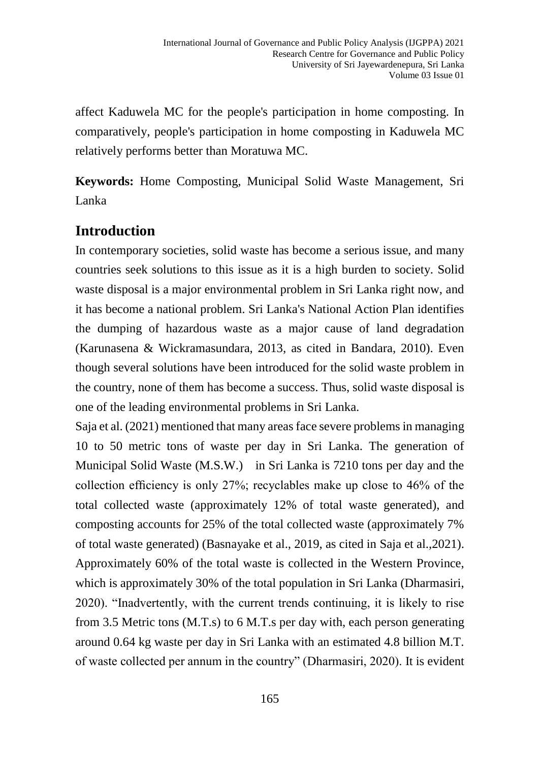affect Kaduwela MC for the people's participation in home composting. In comparatively, people's participation in home composting in Kaduwela MC relatively performs better than Moratuwa MC.

**Keywords:** Home Composting, Municipal Solid Waste Management, Sri Lanka

## **Introduction**

In contemporary societies, solid waste has become a serious issue, and many countries seek solutions to this issue as it is a high burden to society. Solid waste disposal is a major environmental problem in Sri Lanka right now, and it has become a national problem. Sri Lanka's National Action Plan identifies the dumping of hazardous waste as a major cause of land degradation (Karunasena & Wickramasundara, 2013, as cited in Bandara, 2010). Even though several solutions have been introduced for the solid waste problem in the country, none of them has become a success. Thus, solid waste disposal is one of the leading environmental problems in Sri Lanka.

Saja et al. (2021) mentioned that many areas face severe problems in managing 10 to 50 metric tons of waste per day in Sri Lanka. The generation of Municipal Solid Waste (M.S.W.) in Sri Lanka is 7210 tons per day and the collection efficiency is only 27%; recyclables make up close to 46% of the total collected waste (approximately 12% of total waste generated), and composting accounts for 25% of the total collected waste (approximately 7% of total waste generated) (Basnayake et al., 2019, as cited in Saja et al.,2021). Approximately 60% of the total waste is collected in the Western Province, which is approximately 30% of the total population in Sri Lanka (Dharmasiri, 2020). "Inadvertently, with the current trends continuing, it is likely to rise from 3.5 Metric tons (M.T.s) to 6 M.T.s per day with, each person generating around 0.64 kg waste per day in Sri Lanka with an estimated 4.8 billion M.T. of waste collected per annum in the country" (Dharmasiri, 2020). It is evident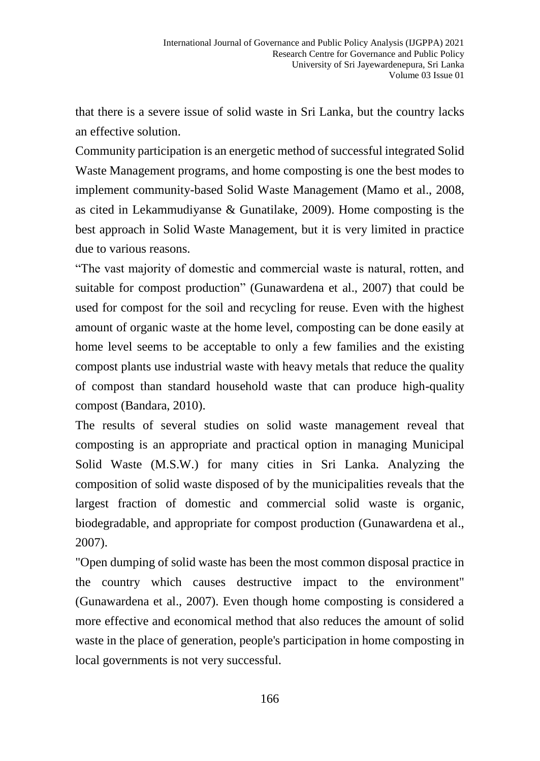that there is a severe issue of solid waste in Sri Lanka, but the country lacks an effective solution.

Community participation is an energetic method of successful integrated Solid Waste Management programs, and home composting is one the best modes to implement community-based Solid Waste Management (Mamo et al., 2008, as cited in Lekammudiyanse & Gunatilake, 2009). Home composting is the best approach in Solid Waste Management, but it is very limited in practice due to various reasons.

"The vast majority of domestic and commercial waste is natural, rotten, and suitable for compost production" (Gunawardena et al., 2007) that could be used for compost for the soil and recycling for reuse. Even with the highest amount of organic waste at the home level, composting can be done easily at home level seems to be acceptable to only a few families and the existing compost plants use industrial waste with heavy metals that reduce the quality of compost than standard household waste that can produce high-quality compost (Bandara, 2010).

The results of several studies on solid waste management reveal that composting is an appropriate and practical option in managing Municipal Solid Waste (M.S.W.) for many cities in Sri Lanka. Analyzing the composition of solid waste disposed of by the municipalities reveals that the largest fraction of domestic and commercial solid waste is organic, biodegradable, and appropriate for compost production (Gunawardena et al., 2007).

"Open dumping of solid waste has been the most common disposal practice in the country which causes destructive impact to the environment" (Gunawardena et al., 2007). Even though home composting is considered a more effective and economical method that also reduces the amount of solid waste in the place of generation, people's participation in home composting in local governments is not very successful.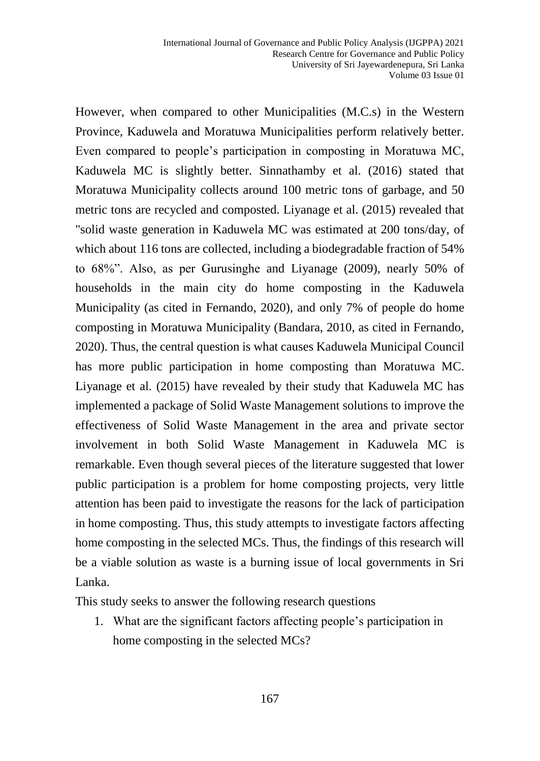However, when compared to other Municipalities (M.C.s) in the Western Province, Kaduwela and Moratuwa Municipalities perform relatively better. Even compared to people's participation in composting in Moratuwa MC, Kaduwela MC is slightly better. Sinnathamby et al. (2016) stated that Moratuwa Municipality collects around 100 metric tons of garbage, and 50 metric tons are recycled and composted. Liyanage et al. (2015) revealed that "solid waste generation in Kaduwela MC was estimated at 200 tons/day, of which about 116 tons are collected, including a biodegradable fraction of 54% to 68%". Also, as per Gurusinghe and Liyanage (2009), nearly 50% of households in the main city do home composting in the Kaduwela Municipality (as cited in Fernando, 2020), and only 7% of people do home composting in Moratuwa Municipality (Bandara, 2010, as cited in Fernando, 2020). Thus, the central question is what causes Kaduwela Municipal Council has more public participation in home composting than Moratuwa MC. Liyanage et al. (2015) have revealed by their study that Kaduwela MC has implemented a package of Solid Waste Management solutions to improve the effectiveness of Solid Waste Management in the area and private sector involvement in both Solid Waste Management in Kaduwela MC is remarkable. Even though several pieces of the literature suggested that lower public participation is a problem for home composting projects, very little attention has been paid to investigate the reasons for the lack of participation in home composting. Thus, this study attempts to investigate factors affecting home composting in the selected MCs. Thus, the findings of this research will be a viable solution as waste is a burning issue of local governments in Sri Lanka.

This study seeks to answer the following research questions

1. What are the significant factors affecting people's participation in home composting in the selected MCs?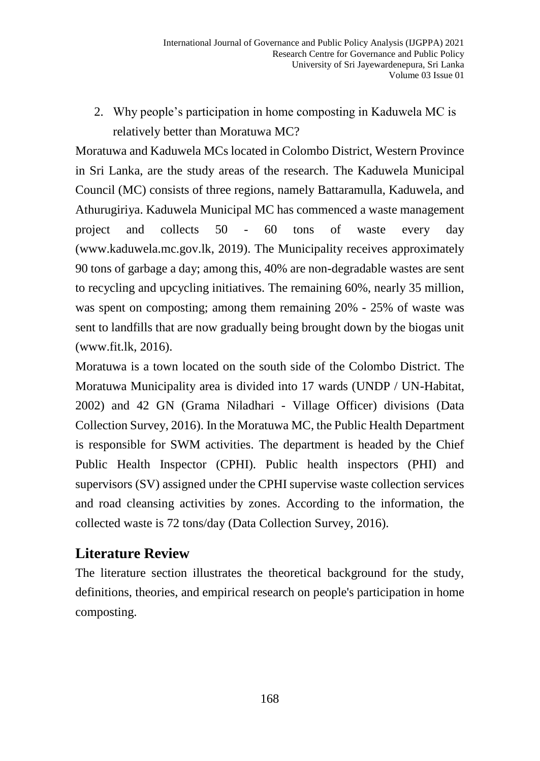2. Why people's participation in home composting in Kaduwela MC is relatively better than Moratuwa MC?

Moratuwa and Kaduwela MCs located in Colombo District, Western Province in Sri Lanka, are the study areas of the research. The Kaduwela Municipal Council (MC) consists of three regions, namely Battaramulla, Kaduwela, and Athurugiriya. Kaduwela Municipal MC has commenced a waste management project and collects 50 - 60 tons of waste every day (www.kaduwela.mc.gov.lk, 2019). The Municipality receives approximately 90 tons of garbage a day; among this, 40% are non-degradable wastes are sent to recycling and upcycling initiatives. The remaining 60%, nearly 35 million, was spent on composting; among them remaining 20% - 25% of waste was sent to landfills that are now gradually being brought down by the biogas unit (www.fit.lk, 2016).

Moratuwa is a town located on the south side of the Colombo District. The Moratuwa Municipality area is divided into 17 wards (UNDP / UN-Habitat, 2002) and 42 GN (Grama Niladhari - Village Officer) divisions (Data Collection Survey, 2016). In the Moratuwa MC, the Public Health Department is responsible for SWM activities. The department is headed by the Chief Public Health Inspector (CPHI). Public health inspectors (PHI) and supervisors (SV) assigned under the CPHI supervise waste collection services and road cleansing activities by zones. According to the information, the collected waste is 72 tons/day (Data Collection Survey, 2016).

## **Literature Review**

The literature section illustrates the theoretical background for the study, definitions, theories, and empirical research on people's participation in home composting.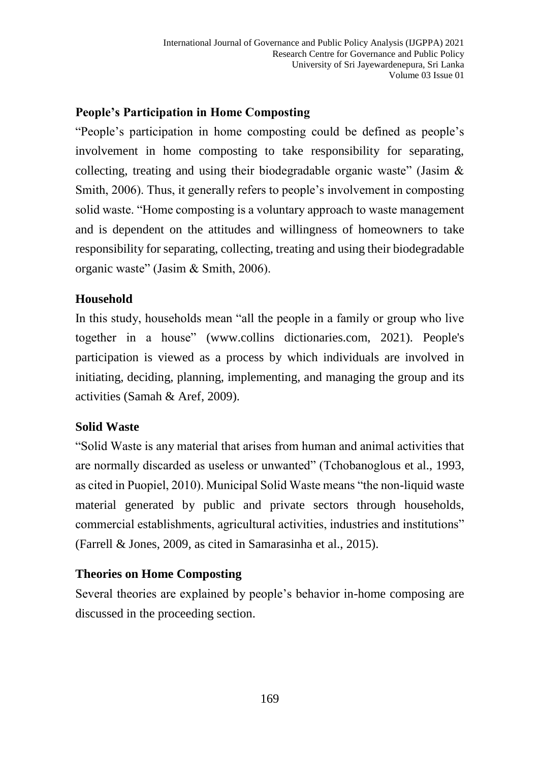## **People's Participation in Home Composting**

"People's participation in home composting could be defined as people's involvement in home composting to take responsibility for separating, collecting, treating and using their biodegradable organic waste" (Jasim & Smith, 2006). Thus, it generally refers to people's involvement in composting solid waste. "Home composting is a voluntary approach to waste management and is dependent on the attitudes and willingness of homeowners to take responsibility for separating, collecting, treating and using their biodegradable organic waste" (Jasim & Smith, 2006).

## **Household**

In this study, households mean "all the people in a family or group who live together in a house" [\(www.collins](http://www.collins/) dictionaries.com, 2021). People's participation is viewed as a process by which individuals are involved in initiating, deciding, planning, implementing, and managing the group and its activities (Samah & Aref, 2009).

## **Solid Waste**

"Solid Waste is any material that arises from human and animal activities that are normally discarded as useless or unwanted" (Tchobanoglous et al., 1993, as cited in Puopiel, 2010). Municipal Solid Waste means "the non-liquid waste material generated by public and private sectors through households, commercial establishments, agricultural activities, industries and institutions" (Farrell & Jones, 2009, as cited in Samarasinha et al., 2015).

## **Theories on Home Composting**

Several theories are explained by people's behavior in-home composing are discussed in the proceeding section.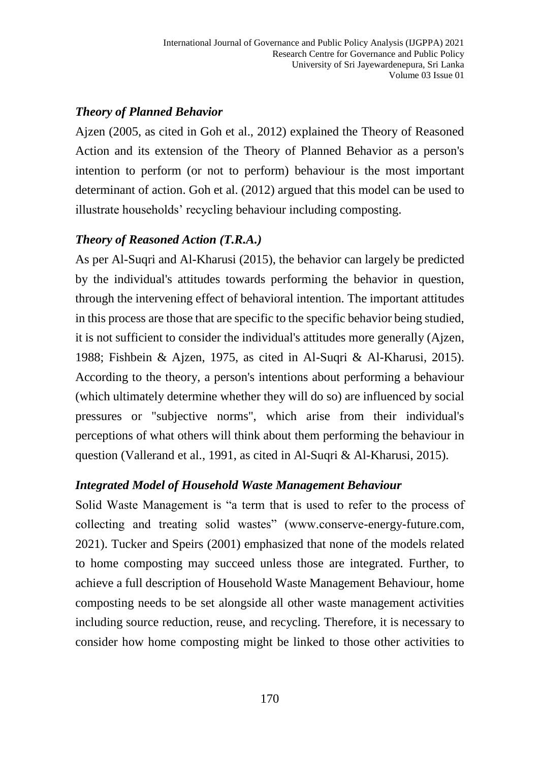#### *Theory of Planned Behavior*

Ajzen (2005, as cited in Goh et al., 2012) explained the Theory of Reasoned Action and its extension of the Theory of Planned Behavior as a person's intention to perform (or not to perform) behaviour is the most important determinant of action. Goh et al. (2012) argued that this model can be used to illustrate households' recycling behaviour including composting.

#### *Theory of Reasoned Action (T.R.A.)*

As per Al-Suqri and Al-Kharusi (2015), the behavior can largely be predicted by the individual's attitudes towards performing the behavior in question, through the intervening effect of behavioral intention. The important attitudes in this process are those that are specific to the specific behavior being studied, it is not sufficient to consider the individual's attitudes more generally (Ajzen, 1988; Fishbein & Ajzen, 1975, as cited in Al-Suqri & Al-Kharusi, 2015). According to the theory, a person's intentions about performing a behaviour (which ultimately determine whether they will do so) are influenced by social pressures or "subjective norms", which arise from their individual's perceptions of what others will think about them performing the behaviour in question (Vallerand et al., 1991, as cited in Al-Suqri & Al-Kharusi, 2015).

## *Integrated Model of Household Waste Management Behaviour*

Solid Waste Management is "a term that is used to refer to the process of collecting and treating solid wastes" (www.conserve-energy-future.com, 2021). Tucker and Speirs (2001) emphasized that none of the models related to home composting may succeed unless those are integrated. Further, to achieve a full description of Household Waste Management Behaviour, home composting needs to be set alongside all other waste management activities including source reduction, reuse, and recycling. Therefore, it is necessary to consider how home composting might be linked to those other activities to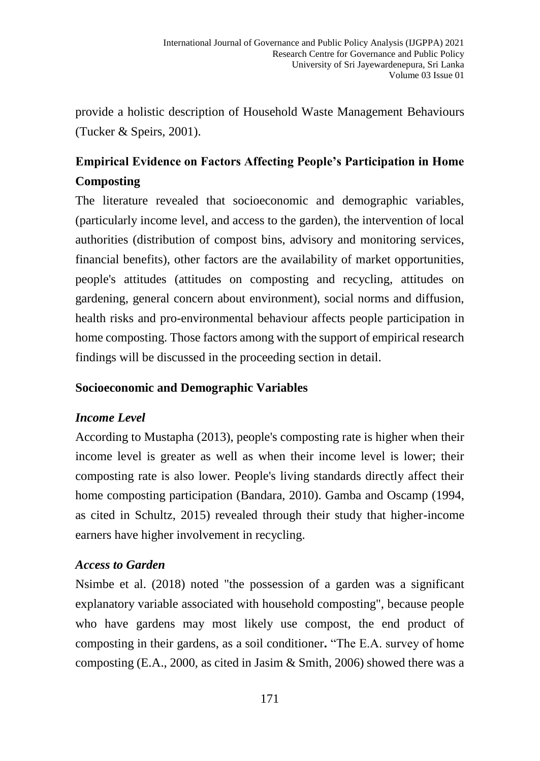provide a holistic description of Household Waste Management Behaviours (Tucker & Speirs, 2001).

## **Empirical Evidence on Factors Affecting People's Participation in Home Composting**

The literature revealed that socioeconomic and demographic variables, (particularly income level, and access to the garden), the intervention of local authorities (distribution of compost bins, advisory and monitoring services, financial benefits), other factors are the availability of market opportunities, people's attitudes (attitudes on composting and recycling, attitudes on gardening, general concern about environment), social norms and diffusion, health risks and pro-environmental behaviour affects people participation in home composting. Those factors among with the support of empirical research findings will be discussed in the proceeding section in detail.

#### **Socioeconomic and Demographic Variables**

#### *Income Level*

According to Mustapha (2013), people's composting rate is higher when their income level is greater as well as when their income level is lower; their composting rate is also lower. People's living standards directly affect their home composting participation (Bandara, 2010). Gamba and Oscamp (1994, as cited in Schultz, 2015) revealed through their study that higher-income earners have higher involvement in recycling.

#### *Access to Garden*

Nsimbe et al. (2018) noted "the possession of a garden was a significant explanatory variable associated with household composting", because people who have gardens may most likely use compost, the end product of composting in their gardens, as a soil conditioner**.** "The E.A. survey of home composting (E.A., 2000, as cited in Jasim & Smith, 2006) showed there was a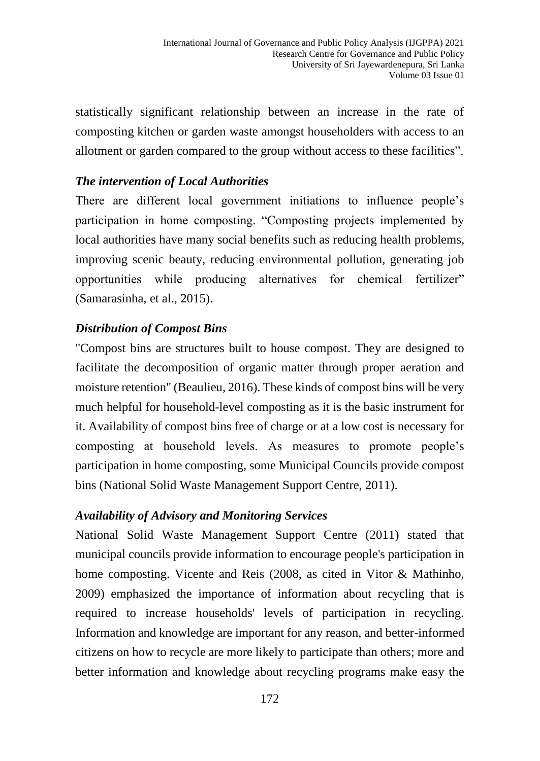statistically significant relationship between an increase in the rate of composting kitchen or garden waste amongst householders with access to an allotment or garden compared to the group without access to these facilities".

#### *The intervention of Local Authorities*

There are different local government initiations to influence people's participation in home composting. "Composting projects implemented by local authorities have many social benefits such as reducing health problems, improving scenic beauty, reducing environmental pollution, generating job opportunities while producing alternatives for chemical fertilizer" (Samarasinha, et al., 2015).

## *Distribution of Compost Bins*

"Compost bins are structures built to house compost. They are designed to facilitate the decomposition of organic matter through proper aeration and moisture retention" (Beaulieu, 2016). These kinds of compost bins will be very much helpful for household-level composting as it is the basic instrument for it. Availability of compost bins free of charge or at a low cost is necessary for composting at household levels. As measures to promote people's participation in home composting, some Municipal Councils provide compost bins (National Solid Waste Management Support Centre, 2011).

#### *Availability of Advisory and Monitoring Services*

National Solid Waste Management Support Centre (2011) stated that municipal councils provide information to encourage people's participation in home composting. Vicente and Reis (2008, as cited in Vitor & Mathinho, 2009) emphasized the importance of information about recycling that is required to increase households' levels of participation in recycling. Information and knowledge are important for any reason, and better-informed citizens on how to recycle are more likely to participate than others; more and better information and knowledge about recycling programs make easy the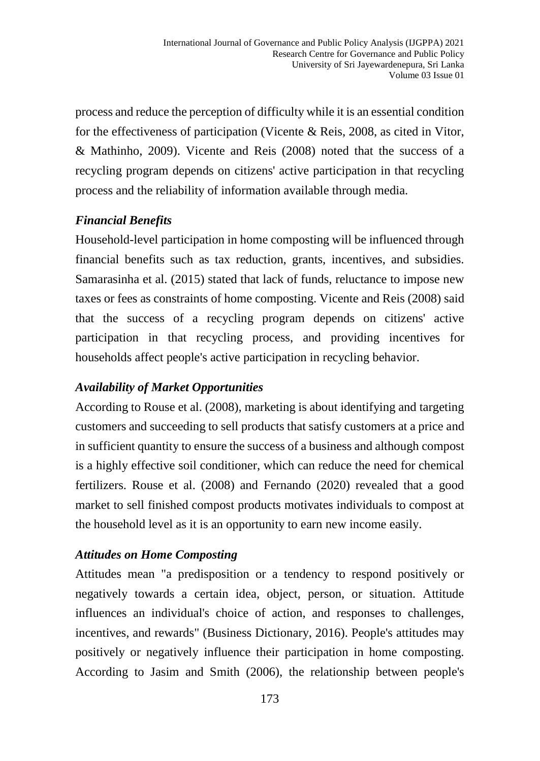process and reduce the perception of difficulty while it is an essential condition for the effectiveness of participation (Vicente & Reis, 2008, as cited in Vitor, & Mathinho, 2009). Vicente and Reis (2008) noted that the success of a recycling program depends on citizens' active participation in that recycling process and the reliability of information available through media.

## *Financial Benefits*

Household-level participation in home composting will be influenced through financial benefits such as tax reduction, grants, incentives, and subsidies. Samarasinha et al. (2015) stated that lack of funds, reluctance to impose new taxes or fees as constraints of home composting. Vicente and Reis (2008) said that the success of a recycling program depends on citizens' active participation in that recycling process, and providing incentives for households affect people's active participation in recycling behavior.

#### *Availability of Market Opportunities*

According to Rouse et al. (2008), marketing is about identifying and targeting customers and succeeding to sell products that satisfy customers at a price and in sufficient quantity to ensure the success of a business and although compost is a highly effective soil conditioner, which can reduce the need for chemical fertilizers. Rouse et al. (2008) and Fernando (2020) revealed that a good market to sell finished compost products motivates individuals to compost at the household level as it is an opportunity to earn new income easily.

## *Attitudes on Home Composting*

Attitudes mean "a predisposition or a tendency to respond positively or negatively towards a certain idea, object, person, or situation. Attitude influences an individual's choice of action, and responses to challenges, incentives, and rewards" (Business Dictionary, 2016). People's attitudes may positively or negatively influence their participation in home composting. According to Jasim and Smith (2006), the relationship between people's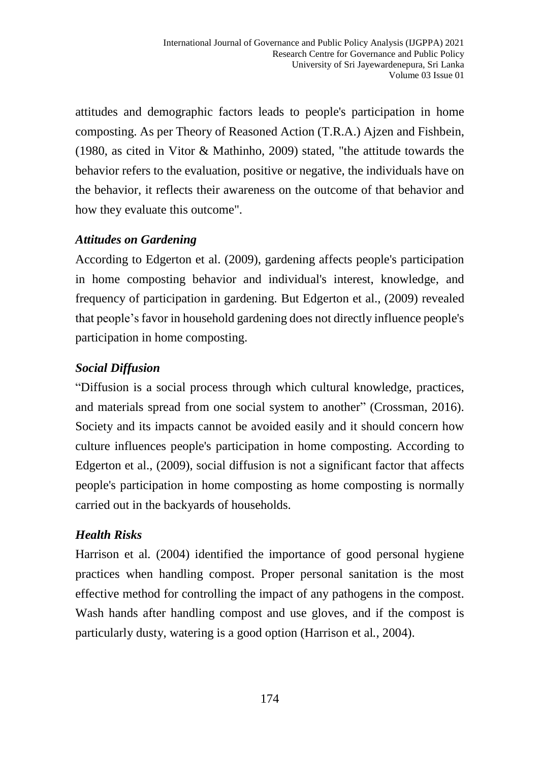attitudes and demographic factors leads to people's participation in home composting. As per Theory of Reasoned Action (T.R.A.) Ajzen and Fishbein, (1980, as cited in Vitor & Mathinho, 2009) stated, "the attitude towards the behavior refers to the evaluation, positive or negative, the individuals have on the behavior, it reflects their awareness on the outcome of that behavior and how they evaluate this outcome".

#### *Attitudes on Gardening*

According to Edgerton et al. (2009), gardening affects people's participation in home composting behavior and individual's interest, knowledge, and frequency of participation in gardening. But Edgerton et al., (2009) revealed that people's favor in household gardening does not directly influence people's participation in home composting.

## *Social Diffusion*

"Diffusion is a social process through which cultural knowledge, practices, and materials spread from one social system to another" (Crossman, 2016). Society and its impacts cannot be avoided easily and it should concern how culture influences people's participation in home composting. According to Edgerton et al., (2009), social diffusion is not a significant factor that affects people's participation in home composting as home composting is normally carried out in the backyards of households.

## *Health Risks*

Harrison et al*.* (2004) identified the importance of good personal hygiene practices when handling compost. Proper personal sanitation is the most effective method for controlling the impact of any pathogens in the compost. Wash hands after handling compost and use gloves, and if the compost is particularly dusty, watering is a good option (Harrison et al*.*, 2004).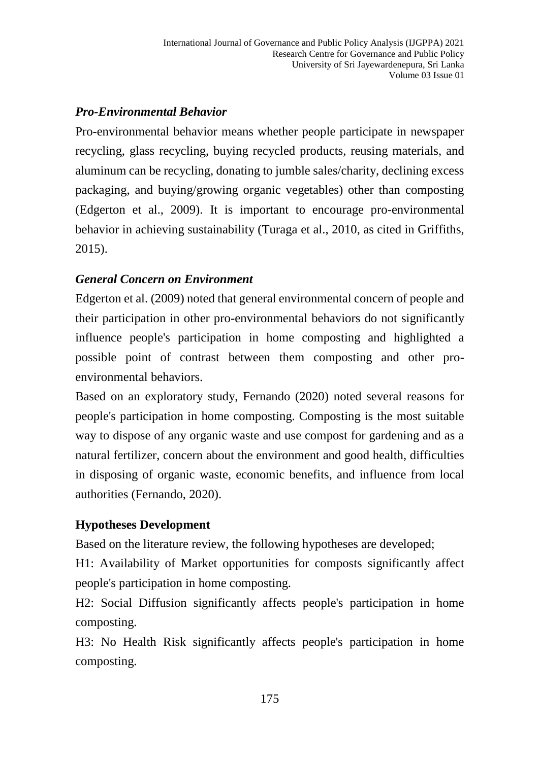## *Pro-Environmental Behavior*

Pro-environmental behavior means whether people participate in newspaper recycling, glass recycling, buying recycled products, reusing materials, and aluminum can be recycling, donating to jumble sales/charity, declining excess packaging, and buying/growing organic vegetables) other than composting (Edgerton et al., 2009). It is important to encourage pro-environmental behavior in achieving sustainability (Turaga et al., 2010, as cited in Griffiths, 2015).

## *General Concern on Environment*

Edgerton et al. (2009) noted that general environmental concern of people and their participation in other pro-environmental behaviors do not significantly influence people's participation in home composting and highlighted a possible point of contrast between them composting and other proenvironmental behaviors.

Based on an exploratory study, Fernando (2020) noted several reasons for people's participation in home composting. Composting is the most suitable way to dispose of any organic waste and use compost for gardening and as a natural fertilizer, concern about the environment and good health, difficulties in disposing of organic waste, economic benefits, and influence from local authorities (Fernando, 2020).

## **Hypotheses Development**

Based on the literature review, the following hypotheses are developed;

H1: Availability of Market opportunities for composts significantly affect people's participation in home composting.

H2: Social Diffusion significantly affects people's participation in home composting.

H3: No Health Risk significantly affects people's participation in home composting.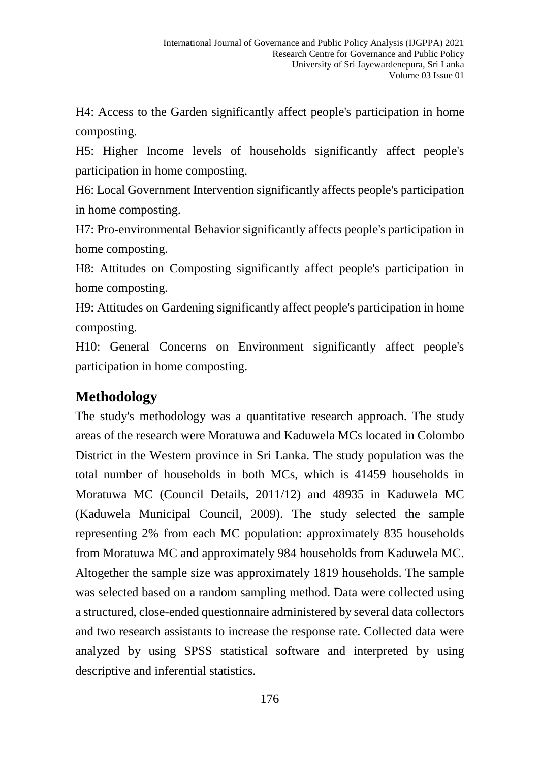H4: Access to the Garden significantly affect people's participation in home composting.

H5: Higher Income levels of households significantly affect people's participation in home composting.

H6: Local Government Intervention significantly affects people's participation in home composting.

H7: Pro-environmental Behavior significantly affects people's participation in home composting.

H8: Attitudes on Composting significantly affect people's participation in home composting.

H9: Attitudes on Gardening significantly affect people's participation in home composting.

H10: General Concerns on Environment significantly affect people's participation in home composting.

## **Methodology**

The study's methodology was a quantitative research approach. The study areas of the research were Moratuwa and Kaduwela MCs located in Colombo District in the Western province in Sri Lanka. The study population was the total number of households in both MCs, which is 41459 households in Moratuwa MC (Council Details, 2011/12) and 48935 in Kaduwela MC (Kaduwela Municipal Council, 2009). The study selected the sample representing 2% from each MC population: approximately 835 households from Moratuwa MC and approximately 984 households from Kaduwela MC. Altogether the sample size was approximately 1819 households. The sample was selected based on a random sampling method. Data were collected using a structured, close-ended questionnaire administered by several data collectors and two research assistants to increase the response rate. Collected data were analyzed by using SPSS statistical software and interpreted by using descriptive and inferential statistics.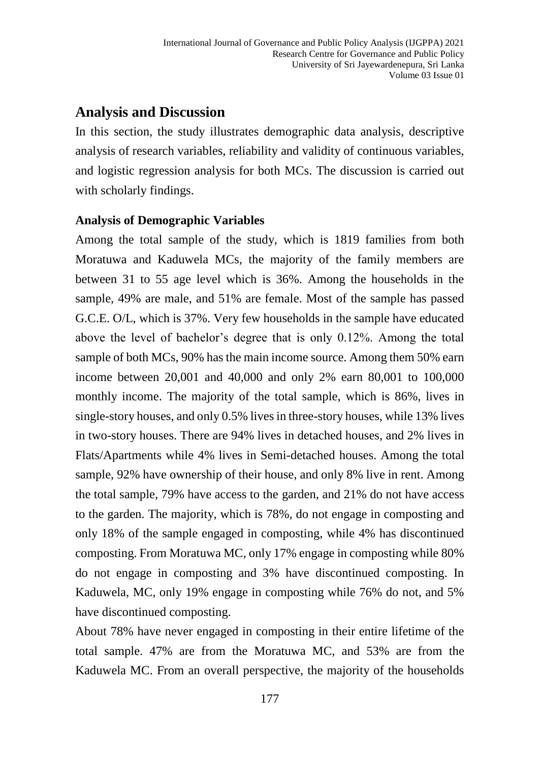## **Analysis and Discussion**

In this section, the study illustrates demographic data analysis, descriptive analysis of research variables, reliability and validity of continuous variables, and logistic regression analysis for both MCs. The discussion is carried out with scholarly findings.

#### **Analysis of Demographic Variables**

Among the total sample of the study, which is 1819 families from both Moratuwa and Kaduwela MCs, the majority of the family members are between 31 to 55 age level which is 36%. Among the households in the sample, 49% are male, and 51% are female. Most of the sample has passed G.C.E. O/L, which is 37%. Very few households in the sample have educated above the level of bachelor's degree that is only 0.12%. Among the total sample of both MCs, 90% has the main income source. Among them 50% earn income between 20,001 and 40,000 and only 2% earn 80,001 to 100,000 monthly income. The majority of the total sample, which is 86%, lives in single-story houses, and only 0.5% lives in three-story houses, while 13% lives in two-story houses. There are 94% lives in detached houses, and 2% lives in Flats/Apartments while 4% lives in Semi-detached houses. Among the total sample, 92% have ownership of their house, and only 8% live in rent. Among the total sample, 79% have access to the garden, and 21% do not have access to the garden. The majority, which is 78%, do not engage in composting and only 18% of the sample engaged in composting, while 4% has discontinued composting. From Moratuwa MC, only 17% engage in composting while 80% do not engage in composting and 3% have discontinued composting. In Kaduwela, MC, only 19% engage in composting while 76% do not, and 5% have discontinued composting.

About 78% have never engaged in composting in their entire lifetime of the total sample. 47% are from the Moratuwa MC, and 53% are from the Kaduwela MC. From an overall perspective, the majority of the households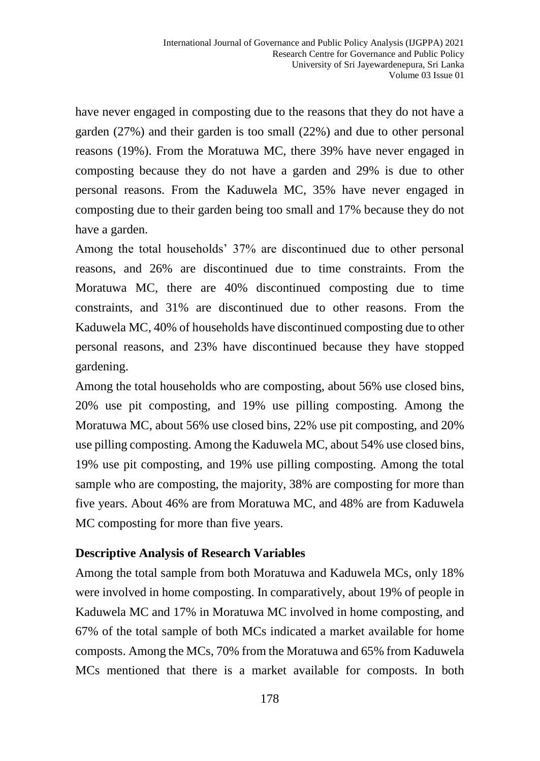have never engaged in composting due to the reasons that they do not have a garden (27%) and their garden is too small (22%) and due to other personal reasons (19%). From the Moratuwa MC, there 39% have never engaged in composting because they do not have a garden and 29% is due to other personal reasons. From the Kaduwela MC, 35% have never engaged in composting due to their garden being too small and 17% because they do not have a garden.

Among the total households' 37% are discontinued due to other personal reasons, and 26% are discontinued due to time constraints. From the Moratuwa MC, there are 40% discontinued composting due to time constraints, and 31% are discontinued due to other reasons. From the Kaduwela MC, 40% of households have discontinued composting due to other personal reasons, and 23% have discontinued because they have stopped gardening.

Among the total households who are composting, about 56% use closed bins, 20% use pit composting, and 19% use pilling composting. Among the Moratuwa MC, about 56% use closed bins, 22% use pit composting, and 20% use pilling composting. Among the Kaduwela MC, about 54% use closed bins, 19% use pit composting, and 19% use pilling composting. Among the total sample who are composting, the majority, 38% are composting for more than five years. About 46% are from Moratuwa MC, and 48% are from Kaduwela MC composting for more than five years.

#### **Descriptive Analysis of Research Variables**

Among the total sample from both Moratuwa and Kaduwela MCs, only 18% were involved in home composting. In comparatively, about 19% of people in Kaduwela MC and 17% in Moratuwa MC involved in home composting, and 67% of the total sample of both MCs indicated a market available for home composts. Among the MCs, 70% from the Moratuwa and 65% from Kaduwela MCs mentioned that there is a market available for composts. In both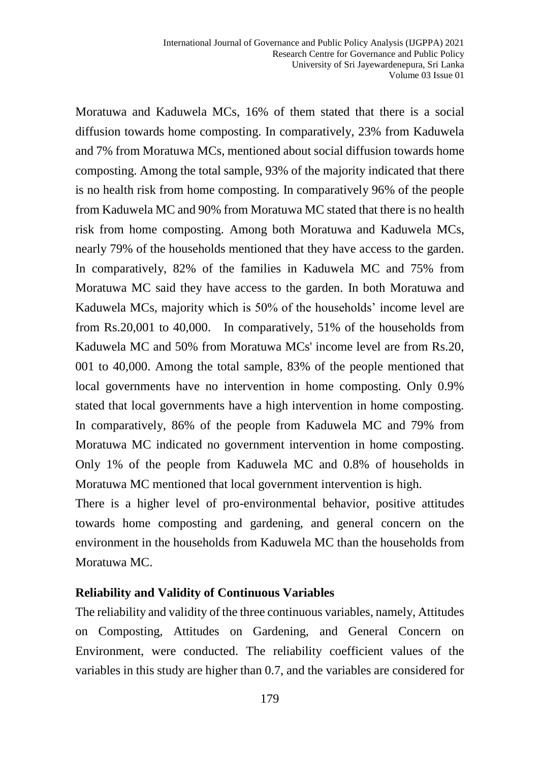Moratuwa and Kaduwela MCs, 16% of them stated that there is a social diffusion towards home composting. In comparatively, 23% from Kaduwela and 7% from Moratuwa MCs, mentioned about social diffusion towards home composting. Among the total sample, 93% of the majority indicated that there is no health risk from home composting. In comparatively 96% of the people from Kaduwela MC and 90% from Moratuwa MC stated that there is no health risk from home composting. Among both Moratuwa and Kaduwela MCs, nearly 79% of the households mentioned that they have access to the garden. In comparatively, 82% of the families in Kaduwela MC and 75% from Moratuwa MC said they have access to the garden. In both Moratuwa and Kaduwela MCs, majority which is 50% of the households' income level are from Rs.20,001 to 40,000. In comparatively, 51% of the households from Kaduwela MC and 50% from Moratuwa MCs' income level are from Rs.20, 001 to 40,000. Among the total sample, 83% of the people mentioned that local governments have no intervention in home composting. Only 0.9% stated that local governments have a high intervention in home composting. In comparatively, 86% of the people from Kaduwela MC and 79% from Moratuwa MC indicated no government intervention in home composting. Only 1% of the people from Kaduwela MC and 0.8% of households in Moratuwa MC mentioned that local government intervention is high.

There is a higher level of pro-environmental behavior, positive attitudes towards home composting and gardening, and general concern on the environment in the households from Kaduwela MC than the households from Moratuwa MC.

#### **Reliability and Validity of Continuous Variables**

The reliability and validity of the three continuous variables, namely, Attitudes on Composting, Attitudes on Gardening, and General Concern on Environment, were conducted. The reliability coefficient values of the variables in this study are higher than 0.7, and the variables are considered for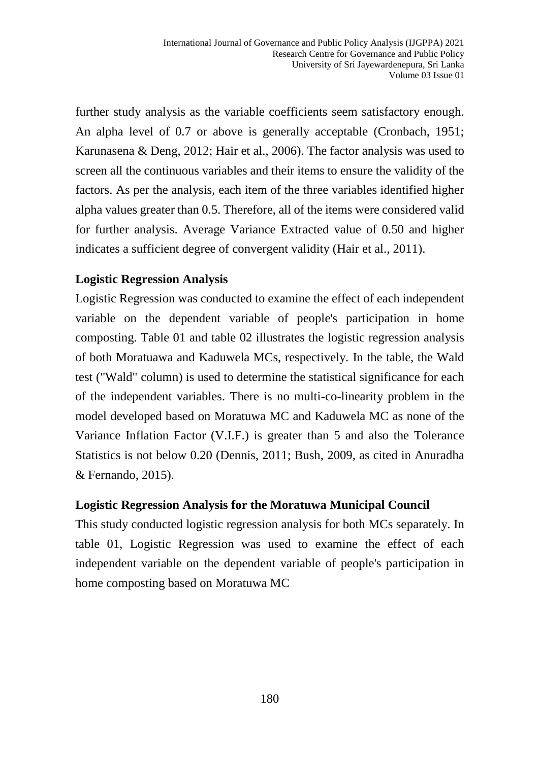further study analysis as the variable coefficients seem satisfactory enough. An alpha level of 0.7 or above is generally acceptable (Cronbach, 1951; Karunasena & Deng, 2012; Hair et al., 2006). The factor analysis was used to screen all the continuous variables and their items to ensure the validity of the factors. As per the analysis, each item of the three variables identified higher alpha values greater than 0.5. Therefore, all of the items were considered valid for further analysis. Average Variance Extracted value of 0.50 and higher indicates a sufficient degree of convergent validity (Hair et al., 2011).

#### **Logistic Regression Analysis**

Logistic Regression was conducted to examine the effect of each independent variable on the dependent variable of people's participation in home composting. Table 01 and table 02 illustrates the logistic regression analysis of both Moratuawa and Kaduwela MCs, respectively. In the table, the Wald test ("Wald" column) is used to determine the statistical significance for each of the independent variables. There is no multi-co-linearity problem in the model developed based on Moratuwa MC and Kaduwela MC as none of the Variance Inflation Factor (V.I.F.) is greater than 5 and also the Tolerance Statistics is not below 0.20 (Dennis, 2011; Bush, 2009, as cited in Anuradha & Fernando, 2015).

#### **Logistic Regression Analysis for the Moratuwa Municipal Council**

This study conducted logistic regression analysis for both MCs separately. In table 01, Logistic Regression was used to examine the effect of each independent variable on the dependent variable of people's participation in home composting based on Moratuwa MC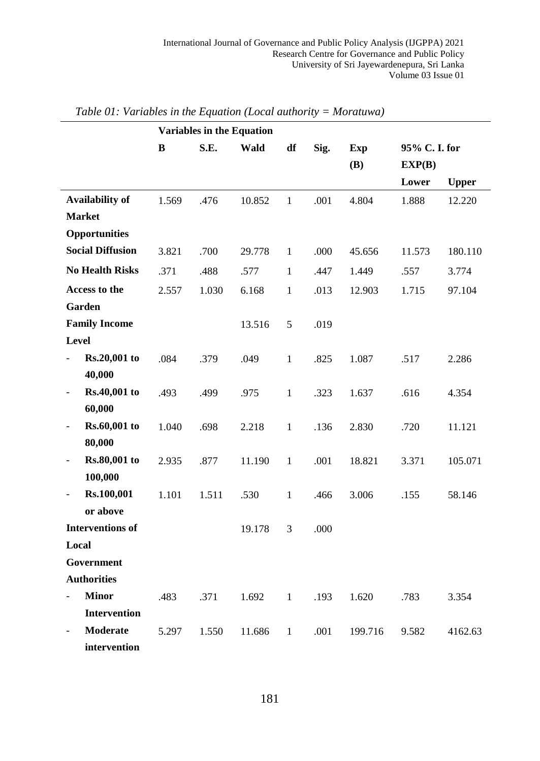|                         | <b>Variables in the Equation</b> |       |        |              |      |            |              |              |
|-------------------------|----------------------------------|-------|--------|--------------|------|------------|--------------|--------------|
|                         | B                                | S.E.  | Wald   | df           | Sig. | <b>Exp</b> | 95% C.I. for |              |
|                         |                                  |       |        |              |      | <b>(B)</b> | EXP(B)       |              |
|                         |                                  |       |        |              |      |            | Lower        | <b>Upper</b> |
| <b>Availability of</b>  | 1.569                            | .476  | 10.852 | $\mathbf{1}$ | .001 | 4.804      | 1.888        | 12.220       |
| <b>Market</b>           |                                  |       |        |              |      |            |              |              |
| Opportunities           |                                  |       |        |              |      |            |              |              |
| <b>Social Diffusion</b> | 3.821                            | .700  | 29.778 | $\mathbf{1}$ | .000 | 45.656     | 11.573       | 180.110      |
| <b>No Health Risks</b>  | .371                             | .488  | .577   | $\mathbf{1}$ | .447 | 1.449      | .557         | 3.774        |
| Access to the           | 2.557                            | 1.030 | 6.168  | $\mathbf{1}$ | .013 | 12.903     | 1.715        | 97.104       |
| Garden                  |                                  |       |        |              |      |            |              |              |
| <b>Family Income</b>    |                                  |       | 13.516 | 5            | .019 |            |              |              |
| Level                   |                                  |       |        |              |      |            |              |              |
| Rs.20,001 to            | .084                             | .379  | .049   | $\mathbf{1}$ | .825 | 1.087      | .517         | 2.286        |
| 40,000                  |                                  |       |        |              |      |            |              |              |
| Rs.40,001 to            | .493                             | .499  | .975   | $\mathbf{1}$ | .323 | 1.637      | .616         | 4.354        |
| 60,000                  |                                  |       |        |              |      |            |              |              |
| Rs.60,001 to            | 1.040                            | .698  | 2.218  | $\mathbf{1}$ | .136 | 2.830      | .720         | 11.121       |
| 80,000                  |                                  |       |        |              |      |            |              |              |
| Rs.80,001 to            | 2.935                            | .877  | 11.190 | $\mathbf{1}$ | .001 | 18.821     | 3.371        | 105.071      |
| 100,000                 |                                  |       |        |              |      |            |              |              |
| Rs.100,001              | 1.101                            | 1.511 | .530   | $\mathbf{1}$ | .466 | 3.006      | .155         | 58.146       |
| or above                |                                  |       |        |              |      |            |              |              |
| <b>Interventions of</b> |                                  |       | 19.178 | 3            | .000 |            |              |              |
| Local                   |                                  |       |        |              |      |            |              |              |
| Government              |                                  |       |        |              |      |            |              |              |
| <b>Authorities</b>      |                                  |       |        |              |      |            |              |              |
| <b>Minor</b>            | .483                             | .371  | 1.692  | $\mathbf{1}$ | .193 | 1.620      | .783         | 3.354        |
| <b>Intervention</b>     |                                  |       |        |              |      |            |              |              |
| Moderate                | 5.297                            | 1.550 | 11.686 | $\mathbf{1}$ | .001 | 199.716    | 9.582        | 4162.63      |
| intervention            |                                  |       |        |              |      |            |              |              |

*Table 01: Variables in the Equation (Local authority = Moratuwa)*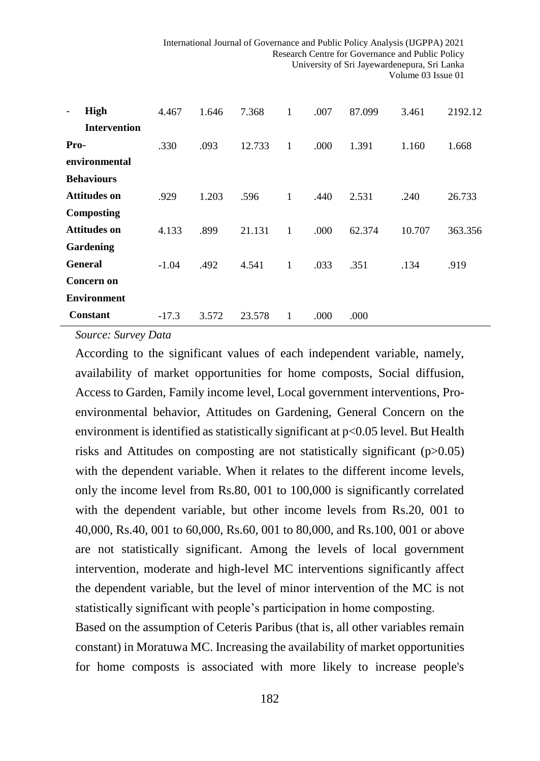| High<br>$\overline{\phantom{a}}$ | 4.467   | 1.646 | 7.368  | 1 | .007 | 87.099 | 3.461  | 2192.12 |
|----------------------------------|---------|-------|--------|---|------|--------|--------|---------|
| <b>Intervention</b>              |         |       |        |   |      |        |        |         |
| Pro-                             | .330    | .093  | 12.733 | 1 | .000 | 1.391  | 1.160  | 1.668   |
| environmental                    |         |       |        |   |      |        |        |         |
| <b>Behaviours</b>                |         |       |        |   |      |        |        |         |
| <b>Attitudes on</b>              | .929    | 1.203 | .596   | 1 | .440 | 2.531  | .240   | 26.733  |
| <b>Composting</b>                |         |       |        |   |      |        |        |         |
| <b>Attitudes on</b>              | 4.133   | .899  | 21.131 | 1 | .000 | 62.374 | 10.707 | 363.356 |
| Gardening                        |         |       |        |   |      |        |        |         |
| <b>General</b>                   | $-1.04$ | .492  | 4.541  | 1 | .033 | .351   | .134   | .919    |
| Concern on                       |         |       |        |   |      |        |        |         |
| <b>Environment</b>               |         |       |        |   |      |        |        |         |
| <b>Constant</b>                  | $-17.3$ | 3.572 | 23.578 | 1 | .000 | .000   |        |         |

*Source: Survey Data*

According to the significant values of each independent variable, namely, availability of market opportunities for home composts, Social diffusion, Access to Garden, Family income level, Local government interventions, Proenvironmental behavior, Attitudes on Gardening, General Concern on the environment is identified as statistically significant at p<0.05 level. But Health risks and Attitudes on composting are not statistically significant (p>0.05) with the dependent variable. When it relates to the different income levels, only the income level from Rs.80, 001 to 100,000 is significantly correlated with the dependent variable, but other income levels from Rs.20, 001 to 40,000, Rs.40, 001 to 60,000, Rs.60, 001 to 80,000, and Rs.100, 001 or above are not statistically significant. Among the levels of local government intervention, moderate and high-level MC interventions significantly affect the dependent variable, but the level of minor intervention of the MC is not statistically significant with people's participation in home composting.

Based on the assumption of Ceteris Paribus (that is, all other variables remain constant) in Moratuwa MC. Increasing the availability of market opportunities for home composts is associated with more likely to increase people's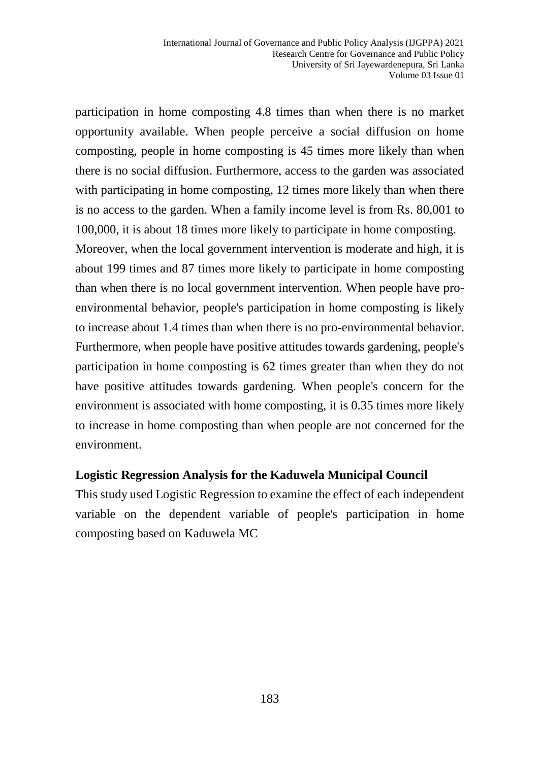participation in home composting 4.8 times than when there is no market opportunity available. When people perceive a social diffusion on home composting, people in home composting is 45 times more likely than when there is no social diffusion. Furthermore, access to the garden was associated with participating in home composting, 12 times more likely than when there is no access to the garden. When a family income level is from Rs. 80,001 to 100,000, it is about 18 times more likely to participate in home composting. Moreover, when the local government intervention is moderate and high, it is about 199 times and 87 times more likely to participate in home composting than when there is no local government intervention. When people have proenvironmental behavior, people's participation in home composting is likely to increase about 1.4 times than when there is no pro-environmental behavior. Furthermore, when people have positive attitudes towards gardening, people's participation in home composting is 62 times greater than when they do not have positive attitudes towards gardening. When people's concern for the environment is associated with home composting, it is 0.35 times more likely to increase in home composting than when people are not concerned for the environment.

#### **Logistic Regression Analysis for the Kaduwela Municipal Council**

This study used Logistic Regression to examine the effect of each independent variable on the dependent variable of people's participation in home composting based on Kaduwela MC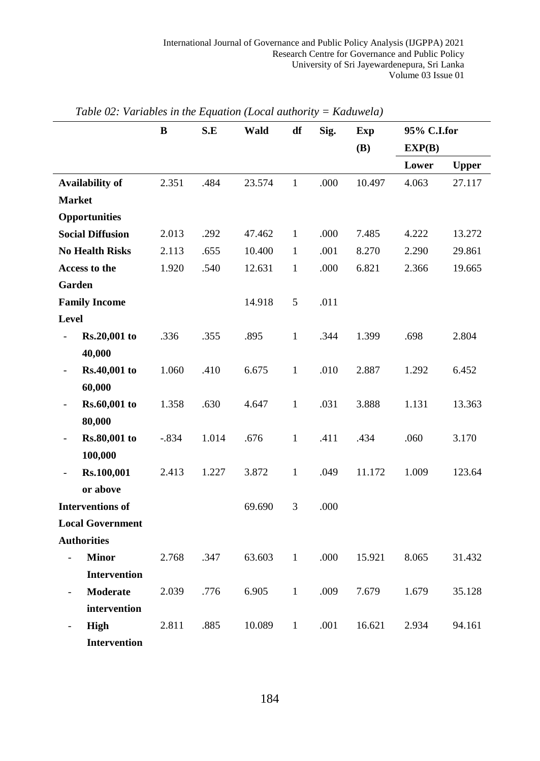|                                         | B       | S.E   | Wald   | df           | Sig. | <b>Exp</b> | 95% C.I.for |              |
|-----------------------------------------|---------|-------|--------|--------------|------|------------|-------------|--------------|
|                                         |         |       |        |              |      | <b>(B)</b> | EXP(B)      |              |
|                                         |         |       |        |              |      |            | Lower       | <b>Upper</b> |
| Availability of                         | 2.351   | .484  | 23.574 | $\mathbf{1}$ | .000 | 10.497     | 4.063       | 27.117       |
| <b>Market</b>                           |         |       |        |              |      |            |             |              |
| Opportunities                           |         |       |        |              |      |            |             |              |
| <b>Social Diffusion</b>                 | 2.013   | .292  | 47.462 | $\mathbf{1}$ | .000 | 7.485      | 4.222       | 13.272       |
| <b>No Health Risks</b>                  | 2.113   | .655  | 10.400 | $\mathbf{1}$ | .001 | 8.270      | 2.290       | 29.861       |
| Access to the                           | 1.920   | .540  | 12.631 | $\mathbf{1}$ | .000 | 6.821      | 2.366       | 19.665       |
| Garden                                  |         |       |        |              |      |            |             |              |
| <b>Family Income</b>                    |         |       | 14.918 | $\sqrt{5}$   | .011 |            |             |              |
| Level                                   |         |       |        |              |      |            |             |              |
| Rs.20,001 to                            | .336    | .355  | .895   | $\mathbf{1}$ | .344 | 1.399      | .698        | 2.804        |
| 40,000                                  |         |       |        |              |      |            |             |              |
| Rs.40,001 to<br>$\blacksquare$          | 1.060   | .410  | 6.675  | $\mathbf{1}$ | .010 | 2.887      | 1.292       | 6.452        |
| 60,000                                  |         |       |        |              |      |            |             |              |
| Rs.60,001 to<br>$\frac{1}{2}$           | 1.358   | .630  | 4.647  | $\mathbf{1}$ | .031 | 3.888      | 1.131       | 13.363       |
| 80,000                                  |         |       |        |              |      |            |             |              |
| Rs.80,001 to<br>$\overline{a}$          | $-.834$ | 1.014 | .676   | $\mathbf{1}$ | .411 | .434       | .060        | 3.170        |
| 100,000                                 |         |       |        |              |      |            |             |              |
| Rs.100,001<br>$\frac{1}{2}$             | 2.413   | 1.227 | 3.872  | $\,1$        | .049 | 11.172     | 1.009       | 123.64       |
| or above                                |         |       |        |              |      |            |             |              |
| <b>Interventions of</b>                 |         |       | 69.690 | 3            | .000 |            |             |              |
| <b>Local Government</b>                 |         |       |        |              |      |            |             |              |
| <b>Authorities</b>                      |         |       |        |              |      |            |             |              |
| <b>Minor</b><br>$\overline{a}$          | 2.768   | .347  | 63.603 | $\,1$        | .000 | 15.921     | 8.065       | 31.432       |
| <b>Intervention</b>                     |         |       |        |              |      |            |             |              |
| <b>Moderate</b>                         | 2.039   | .776  | 6.905  | $\mathbf{1}$ | .009 | 7.679      | 1.679       | 35.128       |
| intervention                            |         |       |        |              |      |            |             |              |
| <b>High</b><br>$\overline{\phantom{a}}$ | 2.811   | .885  | 10.089 | $\mathbf{1}$ | .001 | 16.621     | 2.934       | 94.161       |
| Intervention                            |         |       |        |              |      |            |             |              |

*Table 02: Variables in the Equation (Local authority = Kaduwela)*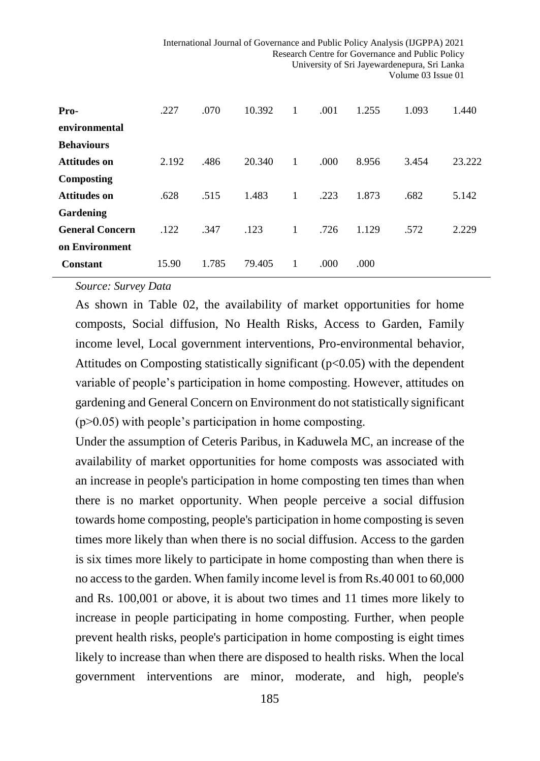| Pro-                   | .227  | .070  | 10.392 | 1 | .001  | 1.255 | 1.093 | 1.440  |
|------------------------|-------|-------|--------|---|-------|-------|-------|--------|
| environmental          |       |       |        |   |       |       |       |        |
| <b>Behaviours</b>      |       |       |        |   |       |       |       |        |
| Attitudes on           | 2.192 | .486  | 20.340 | 1 | .000. | 8.956 | 3.454 | 23.222 |
| Composting             |       |       |        |   |       |       |       |        |
| <b>Attitudes on</b>    | .628  | .515  | 1.483  | 1 | .223  | 1.873 | .682  | 5.142  |
| Gardening              |       |       |        |   |       |       |       |        |
| <b>General Concern</b> | .122  | .347  | .123   | 1 | .726  | 1.129 | .572  | 2.229  |
| on Environment         |       |       |        |   |       |       |       |        |
| <b>Constant</b>        | 15.90 | 1.785 | 79.405 |   | .000  | .000  |       |        |

#### *Source: Survey Data*

As shown in Table 02, the availability of market opportunities for home composts, Social diffusion, No Health Risks, Access to Garden, Family income level, Local government interventions, Pro-environmental behavior, Attitudes on Composting statistically significant  $(p<0.05)$  with the dependent variable of people's participation in home composting. However, attitudes on gardening and General Concern on Environment do not statistically significant  $(p>0.05)$  with people's participation in home composting.

Under the assumption of Ceteris Paribus, in Kaduwela MC, an increase of the availability of market opportunities for home composts was associated with an increase in people's participation in home composting ten times than when there is no market opportunity. When people perceive a social diffusion towards home composting, people's participation in home composting is seven times more likely than when there is no social diffusion. Access to the garden is six times more likely to participate in home composting than when there is no access to the garden. When family income level is from Rs.40 001 to 60,000 and Rs. 100,001 or above, it is about two times and 11 times more likely to increase in people participating in home composting. Further, when people prevent health risks, people's participation in home composting is eight times likely to increase than when there are disposed to health risks. When the local government interventions are minor, moderate, and high, people's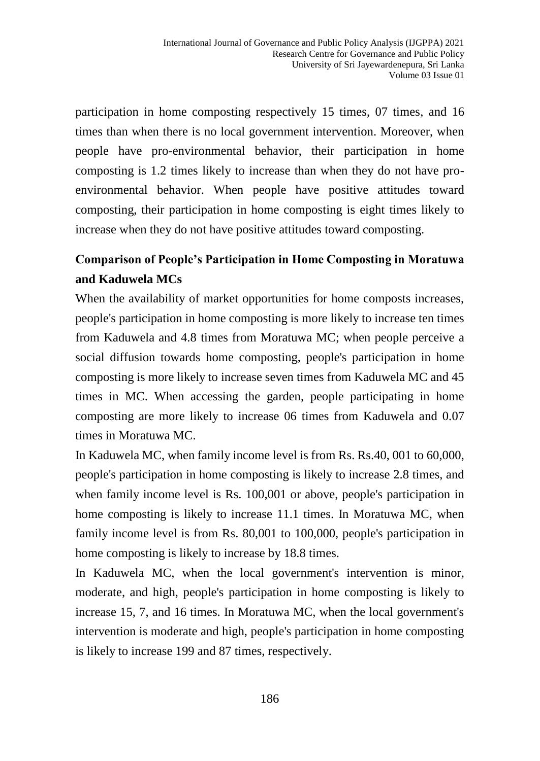participation in home composting respectively 15 times, 07 times, and 16 times than when there is no local government intervention. Moreover, when people have pro-environmental behavior, their participation in home composting is 1.2 times likely to increase than when they do not have proenvironmental behavior. When people have positive attitudes toward composting, their participation in home composting is eight times likely to increase when they do not have positive attitudes toward composting.

## **Comparison of People's Participation in Home Composting in Moratuwa and Kaduwela MCs**

When the availability of market opportunities for home composts increases, people's participation in home composting is more likely to increase ten times from Kaduwela and 4.8 times from Moratuwa MC; when people perceive a social diffusion towards home composting, people's participation in home composting is more likely to increase seven times from Kaduwela MC and 45 times in MC. When accessing the garden, people participating in home composting are more likely to increase 06 times from Kaduwela and 0.07 times in Moratuwa MC.

In Kaduwela MC, when family income level is from Rs. Rs.40, 001 to 60,000, people's participation in home composting is likely to increase 2.8 times, and when family income level is Rs. 100,001 or above, people's participation in home composting is likely to increase 11.1 times. In Moratuwa MC, when family income level is from Rs. 80,001 to 100,000, people's participation in home composting is likely to increase by 18.8 times.

In Kaduwela MC, when the local government's intervention is minor, moderate, and high, people's participation in home composting is likely to increase 15, 7, and 16 times. In Moratuwa MC, when the local government's intervention is moderate and high, people's participation in home composting is likely to increase 199 and 87 times, respectively.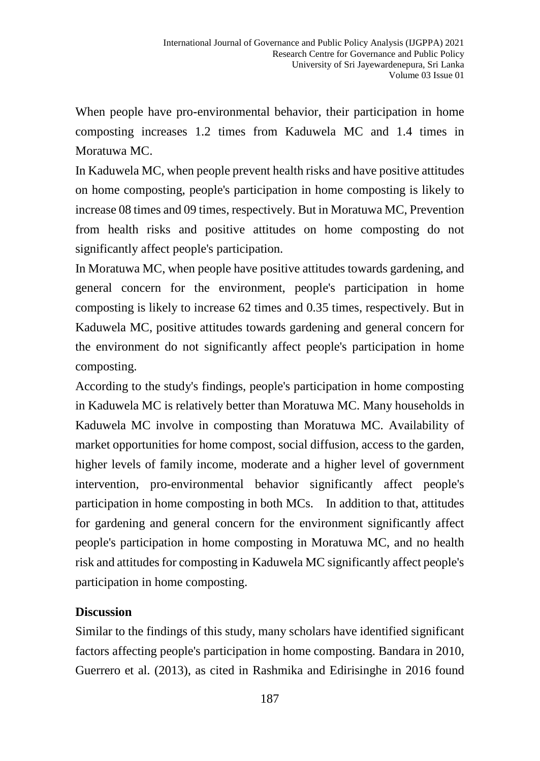When people have pro-environmental behavior, their participation in home composting increases 1.2 times from Kaduwela MC and 1.4 times in Moratuwa MC.

In Kaduwela MC, when people prevent health risks and have positive attitudes on home composting, people's participation in home composting is likely to increase 08 times and 09 times, respectively. But in Moratuwa MC, Prevention from health risks and positive attitudes on home composting do not significantly affect people's participation.

In Moratuwa MC, when people have positive attitudes towards gardening, and general concern for the environment, people's participation in home composting is likely to increase 62 times and 0.35 times, respectively. But in Kaduwela MC, positive attitudes towards gardening and general concern for the environment do not significantly affect people's participation in home composting.

According to the study's findings, people's participation in home composting in Kaduwela MC is relatively better than Moratuwa MC. Many households in Kaduwela MC involve in composting than Moratuwa MC. Availability of market opportunities for home compost, social diffusion, access to the garden, higher levels of family income, moderate and a higher level of government intervention, pro-environmental behavior significantly affect people's participation in home composting in both MCs. In addition to that, attitudes for gardening and general concern for the environment significantly affect people's participation in home composting in Moratuwa MC, and no health risk and attitudes for composting in Kaduwela MC significantly affect people's participation in home composting.

#### **Discussion**

Similar to the findings of this study, many scholars have identified significant factors affecting people's participation in home composting. Bandara in 2010, Guerrero et al. (2013), as cited in Rashmika and Edirisinghe in 2016 found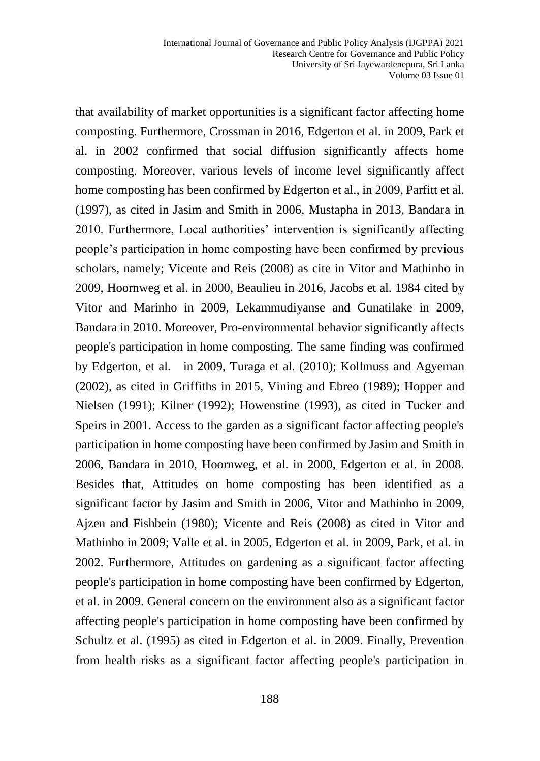that availability of market opportunities is a significant factor affecting home composting. Furthermore, Crossman in 2016, Edgerton et al. in 2009, Park et al. in 2002 confirmed that social diffusion significantly affects home composting. Moreover, various levels of income level significantly affect home composting has been confirmed by Edgerton et al., in 2009, Parfitt et al. (1997), as cited in Jasim and Smith in 2006, Mustapha in 2013, Bandara in 2010. Furthermore, Local authorities' intervention is significantly affecting people's participation in home composting have been confirmed by previous scholars, namely; Vicente and Reis (2008) as cite in Vitor and Mathinho in 2009, Hoornweg et al. in 2000, Beaulieu in 2016, Jacobs et al. 1984 cited by Vitor and Marinho in 2009, Lekammudiyanse and Gunatilake in 2009, Bandara in 2010. Moreover, Pro-environmental behavior significantly affects people's participation in home composting. The same finding was confirmed by Edgerton, et al. in 2009, Turaga et al. (2010); Kollmuss and Agyeman (2002), as cited in Griffiths in 2015, Vining and Ebreo (1989); Hopper and Nielsen (1991); Kilner (1992); Howenstine (1993), as cited in Tucker and Speirs in 2001. Access to the garden as a significant factor affecting people's participation in home composting have been confirmed by Jasim and Smith in 2006, Bandara in 2010, Hoornweg, et al. in 2000, Edgerton et al. in 2008. Besides that, Attitudes on home composting has been identified as a significant factor by Jasim and Smith in 2006, Vitor and Mathinho in 2009, Ajzen and Fishbein (1980); Vicente and Reis (2008) as cited in Vitor and Mathinho in 2009; Valle et al. in 2005, Edgerton et al. in 2009, Park, et al. in 2002. Furthermore, Attitudes on gardening as a significant factor affecting people's participation in home composting have been confirmed by Edgerton, et al. in 2009. General concern on the environment also as a significant factor affecting people's participation in home composting have been confirmed by Schultz et al. (1995) as cited in Edgerton et al. in 2009. Finally, Prevention from health risks as a significant factor affecting people's participation in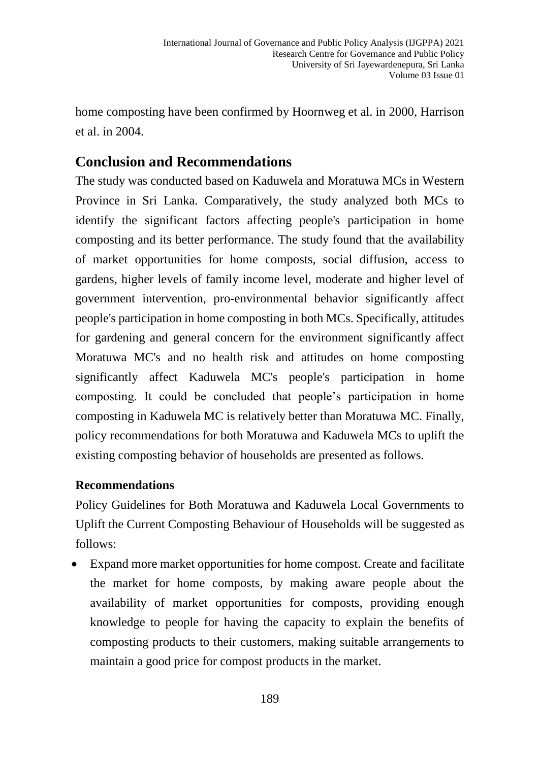home composting have been confirmed by Hoornweg et al. in 2000, Harrison et al. in 2004.

## **Conclusion and Recommendations**

The study was conducted based on Kaduwela and Moratuwa MCs in Western Province in Sri Lanka. Comparatively, the study analyzed both MCs to identify the significant factors affecting people's participation in home composting and its better performance. The study found that the availability of market opportunities for home composts, social diffusion, access to gardens, higher levels of family income level, moderate and higher level of government intervention, pro-environmental behavior significantly affect people's participation in home composting in both MCs. Specifically, attitudes for gardening and general concern for the environment significantly affect Moratuwa MC's and no health risk and attitudes on home composting significantly affect Kaduwela MC's people's participation in home composting. It could be concluded that people's participation in home composting in Kaduwela MC is relatively better than Moratuwa MC. Finally, policy recommendations for both Moratuwa and Kaduwela MCs to uplift the existing composting behavior of households are presented as follows.

#### **Recommendations**

Policy Guidelines for Both Moratuwa and Kaduwela Local Governments to Uplift the Current Composting Behaviour of Households will be suggested as follows:

 Expand more market opportunities for home compost. Create and facilitate the market for home composts, by making aware people about the availability of market opportunities for composts, providing enough knowledge to people for having the capacity to explain the benefits of composting products to their customers, making suitable arrangements to maintain a good price for compost products in the market.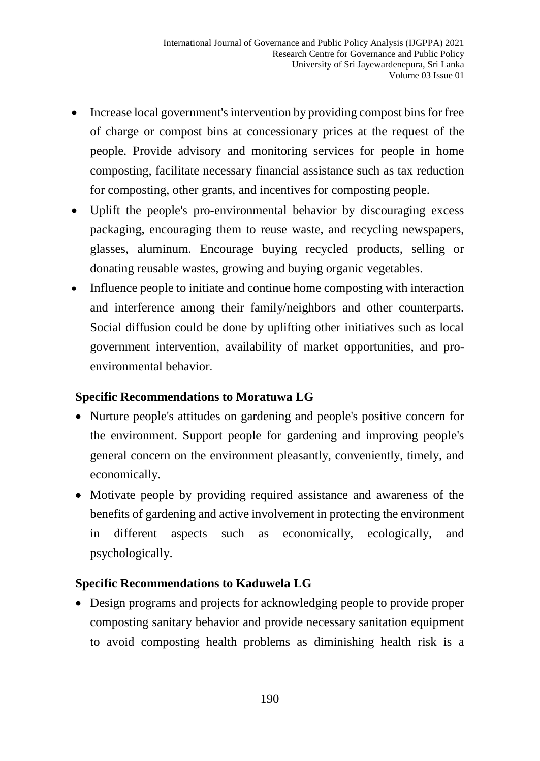- Increase local government's intervention by providing compost bins for free of charge or compost bins at concessionary prices at the request of the people. Provide advisory and monitoring services for people in home composting, facilitate necessary financial assistance such as tax reduction for composting, other grants, and incentives for composting people.
- Uplift the people's pro-environmental behavior by discouraging excess packaging, encouraging them to reuse waste, and recycling newspapers, glasses, aluminum. Encourage buying recycled products, selling or donating reusable wastes, growing and buying organic vegetables.
- Influence people to initiate and continue home composting with interaction and interference among their family/neighbors and other counterparts. Social diffusion could be done by uplifting other initiatives such as local government intervention, availability of market opportunities, and proenvironmental behavior.

## **Specific Recommendations to Moratuwa LG**

- Nurture people's attitudes on gardening and people's positive concern for the environment. Support people for gardening and improving people's general concern on the environment pleasantly, conveniently, timely, and economically.
- Motivate people by providing required assistance and awareness of the benefits of gardening and active involvement in protecting the environment in different aspects such as economically, ecologically, and psychologically.

## **Specific Recommendations to Kaduwela LG**

 Design programs and projects for acknowledging people to provide proper composting sanitary behavior and provide necessary sanitation equipment to avoid composting health problems as diminishing health risk is a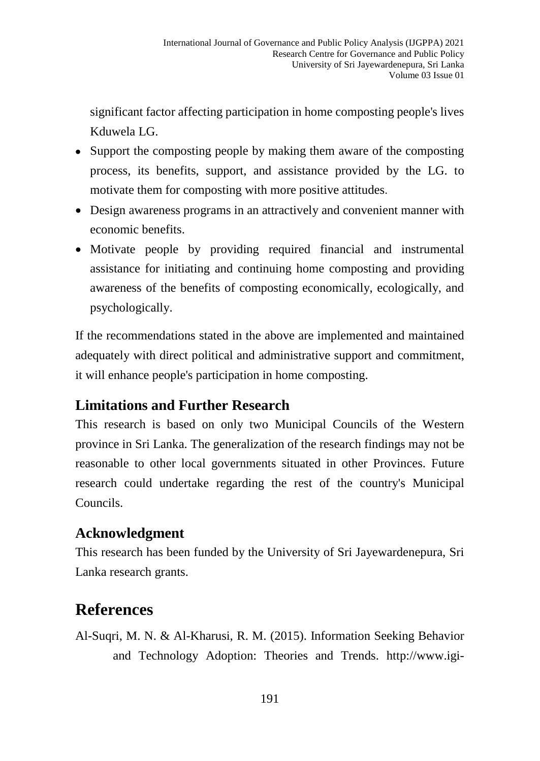significant factor affecting participation in home composting people's lives Kduwela LG.

- Support the composting people by making them aware of the composting process, its benefits, support, and assistance provided by the LG. to motivate them for composting with more positive attitudes.
- Design awareness programs in an attractively and convenient manner with economic benefits.
- Motivate people by providing required financial and instrumental assistance for initiating and continuing home composting and providing awareness of the benefits of composting economically, ecologically, and psychologically.

If the recommendations stated in the above are implemented and maintained adequately with direct political and administrative support and commitment, it will enhance people's participation in home composting.

## **Limitations and Further Research**

This research is based on only two Municipal Councils of the Western province in Sri Lanka. The generalization of the research findings may not be reasonable to other local governments situated in other Provinces. Future research could undertake regarding the rest of the country's Municipal Councils.

## **Acknowledgment**

This research has been funded by the University of Sri Jayewardenepura, Sri Lanka research grants.

## **References**

Al-Suqri, M. N. & Al-Kharusi, R. M. (2015). Information Seeking Behavior and Technology Adoption: Theories and Trends. [http://www.igi-](http://www.igi-global.com/chapter/ajzen-and-fishbeins-theory-of-reasoned-action-tra-1980/127132)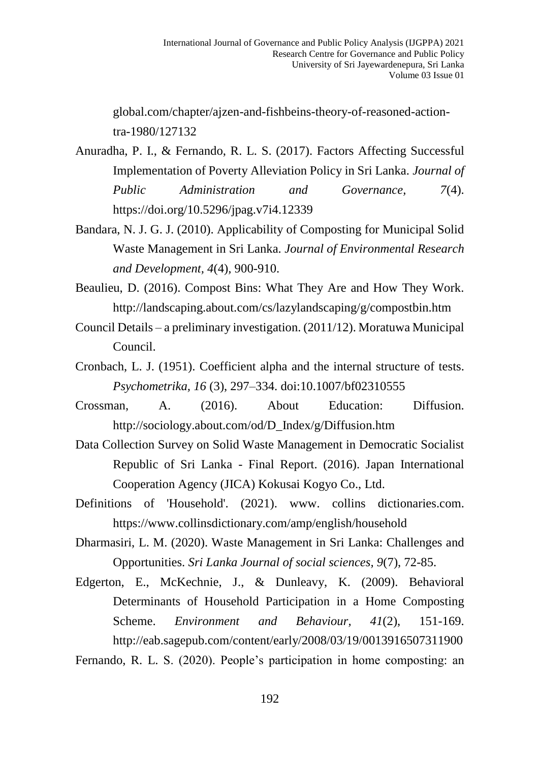[global.com/chapter/ajzen-and-fishbeins-theory-of-reasoned-action](http://www.igi-global.com/chapter/ajzen-and-fishbeins-theory-of-reasoned-action-tra-1980/127132)[tra-1980/127132](http://www.igi-global.com/chapter/ajzen-and-fishbeins-theory-of-reasoned-action-tra-1980/127132)

Anuradha, P. I., & Fernando, R. L. S. (2017). Factors Affecting Successful Implementation of Poverty Alleviation Policy in Sri Lanka. *Journal of Public Administration and Governance, 7*(4). https://doi.org/10.5296/jpag.v7i4.12339

- Bandara, N. J. G. J. (2010). Applicability of Composting for Municipal Solid Waste Management in Sri Lanka. *Journal of Environmental Research and Development, 4*(4)*,* 900-910.
- Beaulieu, D. (2016). Compost Bins: What They Are and How They Work. <http://landscaping.about.com/cs/lazylandscaping/g/compostbin.htm>
- Council Details a preliminary investigation. (2011/12). Moratuwa Municipal Council.
- Cronbach, L. J. (1951). Coefficient alpha and the internal structure of tests. *Psychometrika, 16* (3), 297–334. doi:10.1007/bf02310555
- Crossman, A. (2016). About Education: Diffusion. [http://sociology.about.com/od/D\\_Index/g/Diffusion.htm](http://sociology.about.com/od/D_Index/g/Diffusion.htm)
- Data Collection Survey on Solid Waste Management in Democratic Socialist Republic of Sri Lanka - Final Report. (2016). Japan International Cooperation Agency (JICA) Kokusai Kogyo Co., Ltd.
- Definitions of 'Household'. (2021). [www. collins](http://www.collins/) dictionaries.com. <https://www.collinsdictionary.com/amp/english/household>
- Dharmasiri, L. M. (2020). Waste Management in Sri Lanka: Challenges and Opportunities. *Sri Lanka Journal of social sciences, 9*(7), 72-85.
- Edgerton, E., McKechnie, J., & Dunleavy, K. (2009). Behavioral Determinants of Household Participation in a Home Composting Scheme. *Environment and Behaviour, 41*(2), 151-169. <http://eab.sagepub.com/content/early/2008/03/19/0013916507311900>

Fernando, R. L. S. (2020). People's participation in home composting: an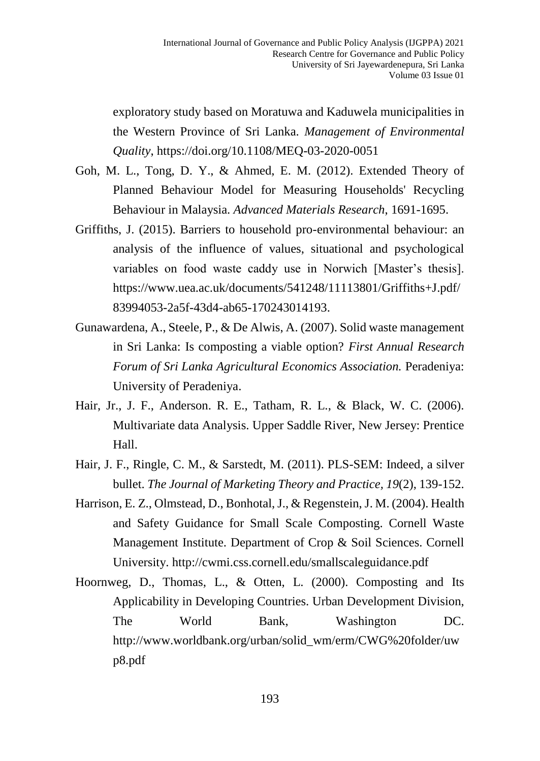exploratory study based on Moratuwa and Kaduwela municipalities in the Western Province of Sri Lanka. *Management of Environmental Quality*, https://doi.org/10.1108/MEQ-03-2020-0051

- Goh, M. L., Tong, D. Y., & Ahmed, E. M. (2012). Extended Theory of Planned Behaviour Model for Measuring Households' Recycling Behaviour in Malaysia. *Advanced Materials Research*, 1691-1695.
- Griffiths, J. (2015). Barriers to household pro-environmental behaviour: an analysis of the influence of values, situational and psychological variables on food waste caddy use in Norwich [Master's thesis]. [https://www.uea.ac.uk/documents/541248/11113801/Griffiths+J.pdf/](https://www.uea.ac.uk/documents/541248/11113801/Griffiths+J.pdf/83994053-2a5f-43d4-ab65-170243014193) [83994053-2a5f-43d4-ab65-170243014193.](https://www.uea.ac.uk/documents/541248/11113801/Griffiths+J.pdf/83994053-2a5f-43d4-ab65-170243014193)
- Gunawardena, A., Steele, P., & De Alwis, A. (2007). Solid waste management in Sri Lanka: Is composting a viable option? *First Annual Research Forum of Sri Lanka Agricultural Economics Association.* Peradeniya: University of Peradeniya.
- Hair, Jr., J. F., Anderson. R. E., Tatham, R. L., & Black, W. C. (2006). Multivariate data Analysis. Upper Saddle River, New Jersey: Prentice Hall.
- Hair, J. F., Ringle, C. M., & Sarstedt, M. (2011). PLS-SEM: Indeed, a silver bullet. *The Journal of Marketing Theory and Practice, 19*(2), 139-152.
- Harrison, E. Z., Olmstead, D., Bonhotal, J., & Regenstein, J. M. (2004). Health and Safety Guidance for Small Scale Composting. Cornell Waste Management Institute. Department of Crop & Soil Sciences. Cornell University.<http://cwmi.css.cornell.edu/smallscaleguidance.pdf>
- Hoornweg, D., Thomas, L., & Otten, L. (2000). Composting and Its Applicability in Developing Countries. Urban Development Division, The World Bank, Washington DC. [http://www.worldbank.org/urban/solid\\_wm/erm/CWG%20folder/uw](http://www.worldbank.org/urban/solid_wm/erm/CWG%20folder/uwp8.pdf) [p8.pdf](http://www.worldbank.org/urban/solid_wm/erm/CWG%20folder/uwp8.pdf)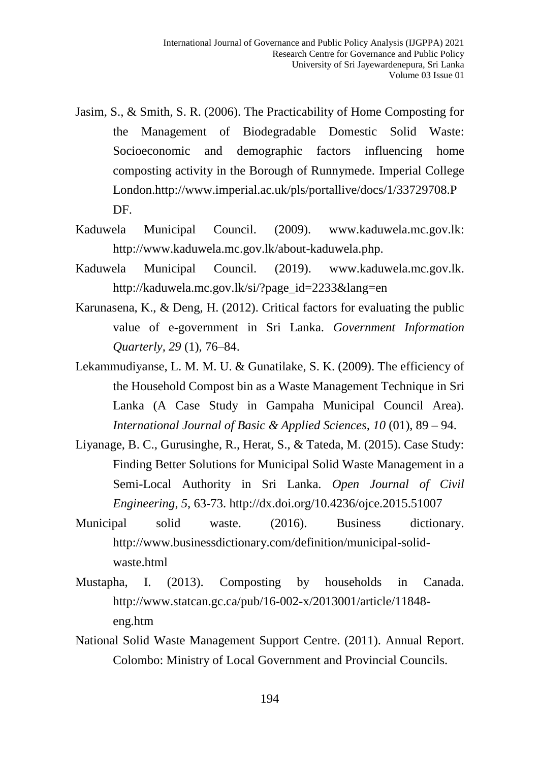- Jasim, S., & Smith, S. R. (2006). The Practicability of Home Composting for the Management of Biodegradable Domestic Solid Waste: Socioeconomic and demographic factors influencing home composting activity in the Borough of Runnymede. Imperial College London[.http://www.imperial.ac.uk/pls/portallive/docs/1/33729708.P](http://www.imperial.ac.uk/pls/portallive/docs/1/33729708.PDF) [DF.](http://www.imperial.ac.uk/pls/portallive/docs/1/33729708.PDF)
- Kaduwela Municipal Council. (2009). www.kaduwela.mc.gov.lk: http://www.kaduwela.mc.gov.lk/about-kaduwela.php.
- Kaduwela Municipal Council. (2019). www.kaduwela.mc.gov.lk. [http://kaduwela.mc.gov.lk/si/?page\\_id=2233&lang=en](http://kaduwela.mc.gov.lk/si/?page_id=2233&lang=en)
- Karunasena, K., & Deng, H. (2012). Critical factors for evaluating the public value of e-government in Sri Lanka. *Government Information Quarterly, 29* (1), 76–84.
- Lekammudiyanse, L. M. M. U. & Gunatilake, S. K. (2009). The efficiency of the Household Compost bin as a Waste Management Technique in Sri Lanka (A Case Study in Gampaha Municipal Council Area). *International Journal of Basic & Applied Sciences, 10* (01), 89 – 94.
- Liyanage, B. C., Gurusinghe, R., Herat, S., & Tateda, M. (2015). Case Study: Finding Better Solutions for Municipal Solid Waste Management in a Semi-Local Authority in Sri Lanka. *Open Journal of Civil Engineering*, *5*, 63-73.<http://dx.doi.org/10.4236/ojce.2015.51007>
- Municipal solid waste. (2016). Business dictionary. http://www.businessdictionary.com/definition/municipal-solidwaste.html
- Mustapha, I. (2013). Composting by households in Canada. [http://www.statcan.gc.ca/pub/16-002-x/2013001/article/11848](http://www.statcan.gc.ca/pub/16-002-x/2013001/article/11848-eng.htm) [eng.htm](http://www.statcan.gc.ca/pub/16-002-x/2013001/article/11848-eng.htm)
- National Solid Waste Management Support Centre. (2011). Annual Report. Colombo: Ministry of Local Government and Provincial Councils.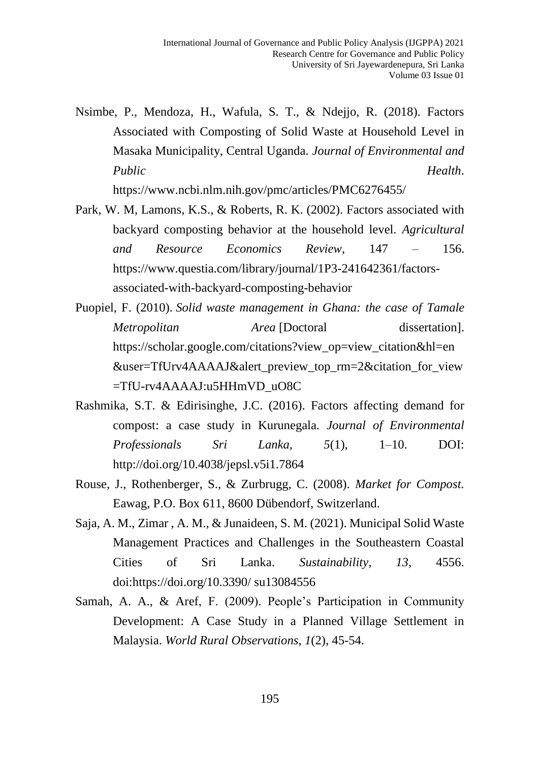Nsimbe, P., Mendoza, H., Wafula, S. T., & Ndejjo, R. (2018). Factors Associated with Composting of Solid Waste at Household Level in Masaka Municipality, Central Uganda. *Journal of Environmental and Public Health*.

https://www.ncbi.nlm.nih.gov/pmc/articles/PMC6276455/

- Park, W. M, Lamons, K.S., & Roberts, R. K. (2002). Factors associated with backyard composting behavior at the household level. *Agricultural and Resource Economics Review*, 147 – 156. [https://www.questia.com/library/journal/1P3-241642361/factors](https://www.questia.com/library/journal/1P3-241642361/factors-associated-with-backyard-composting-behavior)[associated-with-backyard-composting-behavior](https://www.questia.com/library/journal/1P3-241642361/factors-associated-with-backyard-composting-behavior)
- Puopiel, F. (2010). *Solid waste management in Ghana: the case of Tamale Metropolitan Area* [Doctoral dissertation]. https://scholar.google.com/citations?view\_op=view\_citation&hl=en &user=TfUrv4AAAAJ&alert\_preview\_top\_rm=2&citation\_for\_view =TfU-rv4AAAAJ:u5HHmVD\_uO8C
- Rashmika, S.T. & Edirisinghe, J.C. (2016). Factors affecting demand for compost: a case study in Kurunegala. *Journal of Environmental Professionals Sri Lanka, 5*(1), 1–10. DOI: http://doi.org/10.4038/jepsl.v5i1.7864
- Rouse, J., Rothenberger, S., & Zurbrugg, C. (2008). *Market for Compost.* Eawag, P.O. Box 611, 8600 Dübendorf, Switzerland.
- Saja, A. M., Zimar , A. M., & Junaideen, S. M. (2021). Municipal Solid Waste Management Practices and Challenges in the Southeastern Coastal Cities of Sri Lanka. *Sustainability, 13*, 4556. doi:https://doi.org/10.3390/ su13084556
- Samah, A. A., & Aref, F. (2009). People's Participation in Community Development: A Case Study in a Planned Village Settlement in Malaysia. *World Rural Observations*, *1*(2), 45-54.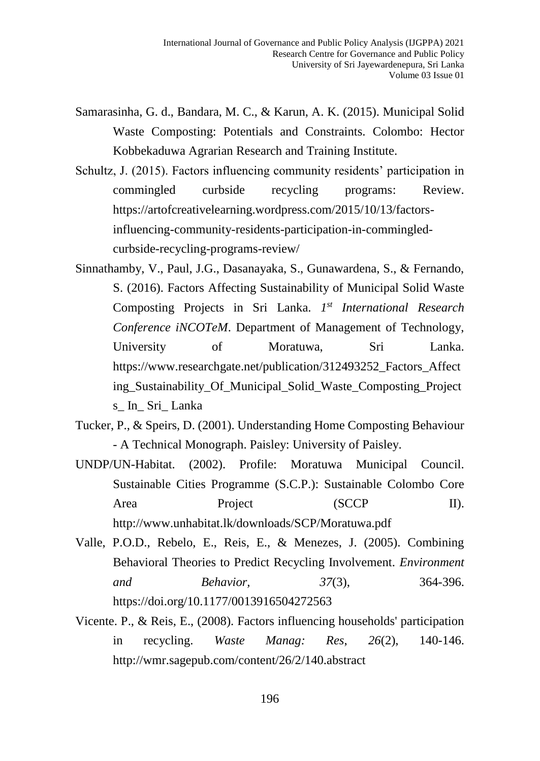- Samarasinha, G. d., Bandara, M. C., & Karun, A. K. (2015). Municipal Solid Waste Composting: Potentials and Constraints. Colombo: Hector Kobbekaduwa Agrarian Research and Training Institute.
- Schultz, J. (2015). Factors influencing community residents' participation in commingled curbside recycling programs: Review. [https://artofcreativelearning.wordpress.com/2015/10/13/factors](https://artofcreativelearning.wordpress.com/2015/10/13/factors-influencing-community-residents-participation-in-commingled-curbside-recycling-programs-review/)[influencing-community-residents-participation-in-commingled](https://artofcreativelearning.wordpress.com/2015/10/13/factors-influencing-community-residents-participation-in-commingled-curbside-recycling-programs-review/)[curbside-recycling-programs-review/](https://artofcreativelearning.wordpress.com/2015/10/13/factors-influencing-community-residents-participation-in-commingled-curbside-recycling-programs-review/)
- Sinnathamby, V., Paul, J.G., Dasanayaka, S., Gunawardena, S., & Fernando, S. (2016). Factors Affecting Sustainability of Municipal Solid Waste Composting Projects in Sri Lanka. *1 st International Research Conference iNCOTeM*. Department of Management of Technology, University of Moratuwa, Sri Lanka. https://www.researchgate.net/publication/312493252\_Factors\_Affect ing\_Sustainability\_Of\_Municipal\_Solid\_Waste\_Composting\_Project s\_ In\_ Sri\_ Lanka
- Tucker, P., & Speirs, D. (2001). Understanding Home Composting Behaviour - A Technical Monograph. Paisley: University of Paisley.
- UNDP/UN-Habitat. (2002). Profile: Moratuwa Municipal Council. Sustainable Cities Programme (S.C.P.): Sustainable Colombo Core Area Project (SCCP II). <http://www.unhabitat.lk/downloads/SCP/Moratuwa.pdf>
- Valle, P.O.D., Rebelo, E., Reis, E., & Menezes, J. (2005). Combining Behavioral Theories to Predict Recycling Involvement. *Environment and Behavior, 37*(3), 364-396. <https://doi.org/10.1177/0013916504272563>
- Vicente. P., & Reis, E., (2008). Factors influencing households' participation in recycling. *Waste Manag: Res*, *26*(2), 140-146. <http://wmr.sagepub.com/content/26/2/140.abstract>